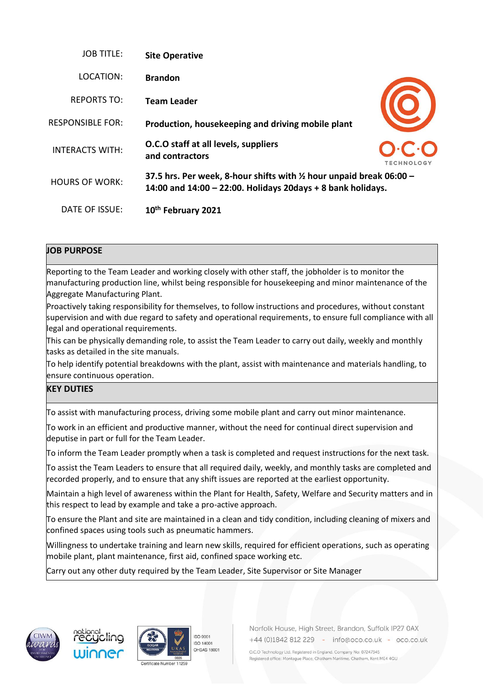| <b>JOB TITLE:</b>       | <b>Site Operative</b>                                                                                                                            |            |
|-------------------------|--------------------------------------------------------------------------------------------------------------------------------------------------|------------|
| LOCATION:               | <b>Brandon</b>                                                                                                                                   |            |
| REPORTS TO:             | <b>Team Leader</b>                                                                                                                               |            |
| <b>RESPONSIBLE FOR:</b> | Production, housekeeping and driving mobile plant                                                                                                |            |
| <b>INTERACTS WITH:</b>  | O.C.O staff at all levels, suppliers<br>and contractors                                                                                          | TECHNOLOGY |
| <b>HOURS OF WORK:</b>   | 37.5 hrs. Per week, 8-hour shifts with $\frac{1}{2}$ hour unpaid break 06:00 -<br>14:00 and $14:00 - 22:00$ . Holidays 20days + 8 bank holidays. |            |
| DATE OF ISSUE:          | 10th February 2021                                                                                                                               |            |

## **JOB PURPOSE**

Reporting to the Team Leader and working closely with other staff, the jobholder is to monitor the manufacturing production line, whilst being responsible for housekeeping and minor maintenance of the Aggregate Manufacturing Plant.

Proactively taking responsibility for themselves, to follow instructions and procedures, without constant supervision and with due regard to safety and operational requirements, to ensure full compliance with all legal and operational requirements.

This can be physically demanding role, to assist the Team Leader to carry out daily, weekly and monthly tasks as detailed in the site manuals.

To help identify potential breakdowns with the plant, assist with maintenance and materials handling, to ensure continuous operation.

## **KEY DUTIES**

To assist with manufacturing process, driving some mobile plant and carry out minor maintenance.

To work in an efficient and productive manner, without the need for continual direct supervision and deputise in part or full for the Team Leader.

To inform the Team Leader promptly when a task is completed and request instructions for the next task.

To assist the Team Leaders to ensure that all required daily, weekly, and monthly tasks are completed and recorded properly, and to ensure that any shift issues are reported at the earliest opportunity.

Maintain a high level of awareness within the Plant for Health, Safety, Welfare and Security matters and in this respect to lead by example and take a pro-active approach.

To ensure the Plant and site are maintained in a clean and tidy condition, including cleaning of mixers and confined spaces using tools such as pneumatic hammers.

Willingness to undertake training and learn new skills, required for efficient operations, such as operating mobile plant, plant maintenance, first aid, confined space working etc.

Carry out any other duty required by the Team Leader, Site Supervisor or Site Manager









Norfolk House, High Street, Brandon, Suffolk IP27 0AX +44 (0)1842 812 229 - info@oco.co.uk - oco.co.uk

O.C.O Technology Ltd. Registered in England. Company No: 07247345 Registered office: Montague Place, Chatham Maritime, Chatham, Kent ME4 4QU